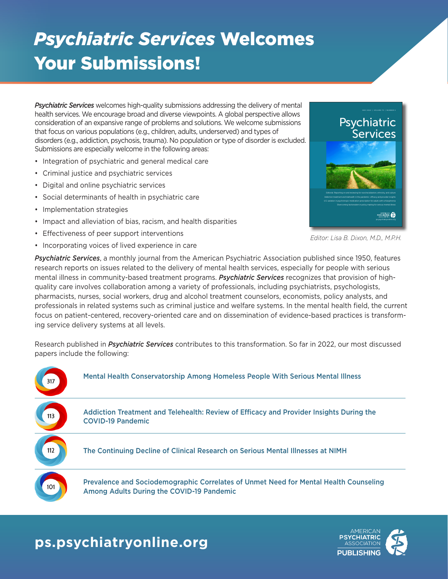# *Psychiatric Services* Welcomes Your Submissions!

*Psychiatric Services* welcomes high-quality submissions addressing the delivery of mental health services. We encourage broad and diverse viewpoints. A global perspective allows consideration of an expansive range of problems and solutions. We welcome submissions that focus on various populations (e.g., children, adults, underserved) and types of disorders (e.g., addiction, psychosis, trauma). No population or type of disorder is excluded. Submissions are especially welcome in the following areas:

- Integration of psychiatric and general medical care
- Criminal justice and psychiatric services
- Digital and online psychiatric services
- Social determinants of health in psychiatric care
- Implementation strategies
- Impact and alleviation of bias, racism, and health disparities
- Effectiveness of peer support interventions
- Incorporating voices of lived experience in care



*Editor: Lisa B. Dixon, M.D., M.P.H.*

*Psychiatric Services*, a monthly journal from the American Psychiatric Association published since 1950, features research reports on issues related to the delivery of mental health services, especially for people with serious mental illness in community-based treatment programs. *Psychiatric Services* recognizes that provision of highquality care involves collaboration among a variety of professionals, including psychiatrists, psychologists, pharmacists, nurses, social workers, drug and alcohol treatment counselors, economists, policy analysts, and professionals in related systems such as criminal justice and welfare systems. In the mental health field, the current focus on patient-centered, recovery-oriented care and on dissemination of evidence-based practices is transforming service delivery systems at all levels.

Research published in *Psychiatric Services* contributes to this transformation. So far in 2022, our most discussed papers include the following:



### **ps.psychiatryonline.org**